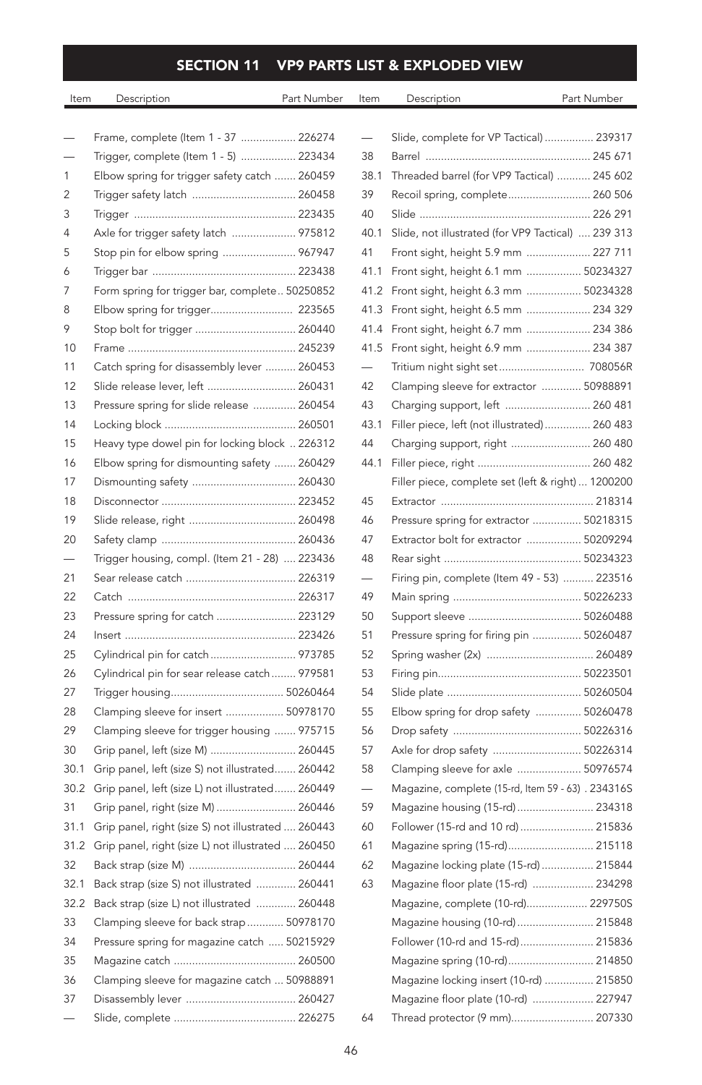## SECTION 11 VP9 PARTS LIST & EXPLODED VIEW

| Item | Description                                        | Part Number | Item                     | Description                                       | Part Number |
|------|----------------------------------------------------|-------------|--------------------------|---------------------------------------------------|-------------|
|      | Frame, complete (Item 1 - 37  226274               |             |                          | Slide, complete for VP Tactical)  23931           |             |
|      | Trigger, complete (Item 1 - 5)  223434             |             | 38                       |                                                   |             |
| 1    | Elbow spring for trigger safety catch  260459      |             | 38.1                     | Threaded barrel (for VP9 Tactical)  245 60        |             |
| 2    | Trigger safety latch  260458                       |             | 39                       | Recoil spring, complete 260 50                    |             |
| 3    |                                                    |             | 40                       |                                                   |             |
| 4    | Axle for trigger safety latch  975812              |             | 40.1                     | Slide, not illustrated (for VP9 Tactical)  239 31 |             |
| 5    | Stop pin for elbow spring  967947                  |             | 41                       | Front sight, height 5.9 mm  227 71                |             |
| 6    |                                                    |             |                          | 41.1 Front sight, height 6.1 mm  5023432          |             |
| 7    | Form spring for trigger bar, complete 50250852     |             |                          | 41.2 Front sight, height 6.3 mm  5023432          |             |
| 8    | Elbow spring for trigger 223565                    |             |                          | 41.3 Front sight, height 6.5 mm  234 32           |             |
| 9    | Stop bolt for trigger  260440                      |             | 41.4                     | Front sight, height 6.7 mm  234 38                |             |
| 10   |                                                    |             | 41.5                     | Front sight, height 6.9 mm  234 38                |             |
| 11   | Catch spring for disassembly lever  260453         |             | -                        | Tritium night sight set 708056                    |             |
| 12   | Slide release lever, left  260431                  |             | 42                       | Clamping sleeve for extractor  5098889            |             |
| 13   | Pressure spring for slide release  260454          |             | 43                       | Charging support, left  260 48                    |             |
| 14   |                                                    |             | 43.1                     | Filler piece, left (not illustrated)  260 48      |             |
| 15   | Heavy type dowel pin for locking block  226312     |             | 44                       | Charging support, right  260 48                   |             |
| 16   | Elbow spring for dismounting safety  260429        |             | 44.1                     |                                                   |             |
| 17   |                                                    |             |                          | Filler piece, complete set (left & right)  120020 |             |
| 18   |                                                    |             | 45                       |                                                   |             |
| 19   |                                                    |             | 46                       | Pressure spring for extractor  5021831            |             |
| 20   |                                                    |             | 47                       | Extractor bolt for extractor  5020929             |             |
|      | Trigger housing, compl. (Item 21 - 28)  223436     |             | 48                       |                                                   |             |
| 21   |                                                    |             | $\overline{\phantom{0}}$ | Firing pin, complete (Item 49 - 53)  22351        |             |
| 22   |                                                    |             | 49                       |                                                   |             |
| 23   | Pressure spring for catch  223129                  |             | 50                       |                                                   |             |
| 24   |                                                    |             | 51                       | Pressure spring for firing pin  5026048           |             |
| 25   | Cylindrical pin for catch 973785                   |             | 52                       |                                                   |             |
| 26   | Cylindrical pin for sear release catch  979581     |             | 53                       |                                                   |             |
| 27   |                                                    |             | 54                       |                                                   |             |
| 28   | Clamping sleeve for insert  50978170               |             | 55                       | Elbow spring for drop safety  5026047             |             |
| 29   | Clamping sleeve for trigger housing  975715        |             | 56                       |                                                   |             |
| 30   | Grip panel, left (size M)  260445                  |             | 57                       | Axle for drop safety  5022631                     |             |
| 30.1 | Grip panel, left (size S) not illustrated 260442   |             | 58                       | Clamping sleeve for axle  5097657                 |             |
| 30.2 | Grip panel, left (size L) not illustrated 260449   |             |                          | Magazine, complete (15-rd, Item 59 - 63) . 234316 |             |
| 31   | Grip panel, right (size M)  260446                 |             | 59                       | Magazine housing (15-rd)  23431                   |             |
| 31.1 | Grip panel, right (size S) not illustrated  260443 |             | 60                       | Follower (15-rd and 10 rd)  21583                 |             |
| 31.2 | Grip panel, right (size L) not illustrated  260450 |             | 61                       | Magazine spring (15-rd) 21511                     |             |
| 32   |                                                    |             | 62                       | Magazine locking plate (15-rd)  21584             |             |
| 32.1 | Back strap (size S) not illustrated  260441        |             | 63                       | Magazine floor plate (15-rd)  23429               |             |
| 32.2 | Back strap (size L) not illustrated  260448        |             |                          | Magazine, complete (10-rd) 229750                 |             |
| 33   | Clamping sleeve for back strap  50978170           |             |                          | Magazine housing (10-rd)  21584                   |             |
| 34   | Pressure spring for magazine catch  50215929       |             |                          | Follower (10-rd and 15-rd) 21583                  |             |
| 35   |                                                    |             |                          | Magazine spring (10-rd) 21485                     |             |
| 36   | Clamping sleeve for magazine catch  50988891       |             |                          | Magazine locking insert (10-rd)  21585            |             |
| 37   |                                                    |             |                          | Magazine floor plate (10-rd)  22794               |             |
|      |                                                    |             | 64                       | Thread protector (9 mm) 20733                     |             |

|                          | Slide, complete for VP Tactical)  239317           |  |
|--------------------------|----------------------------------------------------|--|
| 38                       |                                                    |  |
| 38.1                     | Threaded barrel (for VP9 Tactical)  245 602        |  |
| 39                       | Recoil spring, complete 260 506                    |  |
| 40                       |                                                    |  |
| 40.1                     | Slide, not illustrated (for VP9 Tactical)  239 313 |  |
| 41                       | Front sight, height 5.9 mm  227 711                |  |
| 41.1                     | Front sight, height 6.1 mm  50234327               |  |
| 41.2                     | Front sight, height 6.3 mm  50234328               |  |
| 41.3                     | Front sight, height 6.5 mm  234 329                |  |
| 41.4                     | Front sight, height 6.7 mm  234 386                |  |
| 41.5                     | Front sight, height 6.9 mm  234 387                |  |
| $\overline{\phantom{0}}$ | Tritium night sight set 708056R                    |  |
| 42                       | Clamping sleeve for extractor  50988891            |  |
| 43                       | Charging support, left  260 481                    |  |
| 43.1                     | Filler piece, left (not illustrated)  260 483      |  |
| 44                       | Charging support, right  260 480                   |  |
| 44.1                     |                                                    |  |
|                          | Filler piece, complete set (left & right)  1200200 |  |
| 45                       |                                                    |  |
| 46                       | Pressure spring for extractor  50218315            |  |
| 47                       | Extractor bolt for extractor  50209294             |  |
| 48                       |                                                    |  |
|                          | Firing pin, complete (Item 49 - 53)  223516        |  |
| 49                       |                                                    |  |
| 50                       |                                                    |  |
| 51                       | Pressure spring for firing pin  50260487           |  |
| 52                       | Spring washer (2x)  260489                         |  |
| 53                       |                                                    |  |
| 54                       |                                                    |  |
| 55                       | Elbow spring for drop safety  50260478             |  |
| 56                       |                                                    |  |
| 57                       | Axle for drop safety  50226314                     |  |
| 58                       | Clamping sleeve for axle  50976574                 |  |
|                          | Magazine, complete (15-rd, Item 59 - 63) . 234316S |  |
| 59                       | Magazine housing (15-rd)  234318                   |  |
| 60                       | Follower (15-rd and 10 rd)  215836                 |  |
| 61                       | Magazine spring (15-rd) 215118                     |  |
| 62                       | Magazine locking plate (15-rd)  215844             |  |
| 63                       | Magazine floor plate (15-rd)  234298               |  |
|                          | Magazine, complete (10-rd) 229750S                 |  |
|                          | Magazine housing (10-rd)  215848                   |  |
|                          | Follower (10-rd and 15-rd) 215836                  |  |
|                          | Magazine spring (10-rd) 214850                     |  |
|                          | Magazine locking insert (10-rd)  215850            |  |
|                          | Magazine floor plate (10-rd)  227947               |  |
| 64                       | Thread protector (9 mm) 207330                     |  |
|                          |                                                    |  |

46